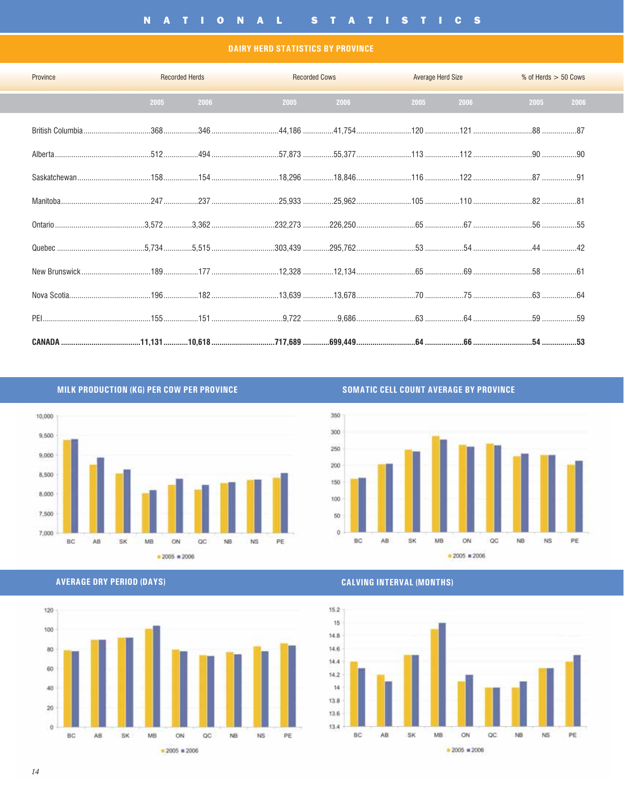#### **DAIRY HERD STATISTICS BY PROVINCE**

| Province<br><b>Contract of the Contract of Contract of the Contract of Contract of the Contract of Contract of Contract of T</b> |      | <b>Recorded Herds</b><br><b>Contract Contract Contract Contract</b> |      | <b>Recorded Cows Exercísion Cows</b> |      | <b>Average Herd Size</b> | % of Herds > 50 Cows |
|----------------------------------------------------------------------------------------------------------------------------------|------|---------------------------------------------------------------------|------|--------------------------------------|------|--------------------------|----------------------|
|                                                                                                                                  | 2005 | 2006                                                                | 2005 | 2006                                 | 2005 | 2006 100                 | 2005<br>2006         |
|                                                                                                                                  |      |                                                                     |      |                                      |      |                          |                      |
|                                                                                                                                  |      |                                                                     |      |                                      |      |                          |                      |
|                                                                                                                                  |      |                                                                     |      |                                      |      |                          |                      |
|                                                                                                                                  |      |                                                                     |      |                                      |      |                          |                      |
|                                                                                                                                  |      |                                                                     |      |                                      |      |                          |                      |
| Quebec ………………………………………5,734……………5,515…………………………303,439 ……………295,762……………………53 …………………54 ………………………44 ………………42                     |      |                                                                     |      |                                      |      |                          |                      |
|                                                                                                                                  |      |                                                                     |      |                                      |      |                          |                      |
|                                                                                                                                  |      |                                                                     |      |                                      |      |                          |                      |
|                                                                                                                                  |      |                                                                     |      |                                      |      |                          |                      |
| CANADA …………………………………11,131 …………10,618 …………………………717,689 …………699,449 ……………………64 …………………66 …………………………54 ………………53                   |      |                                                                     |      |                                      |      |                          |                      |

MILK PRODUCTION (KG) PER COW PER PROVINCE



**SOMATIC CELL COUNT AVERAGE BY PROVINCE** 







**CALVING INTERVAL (MONTHS)** 

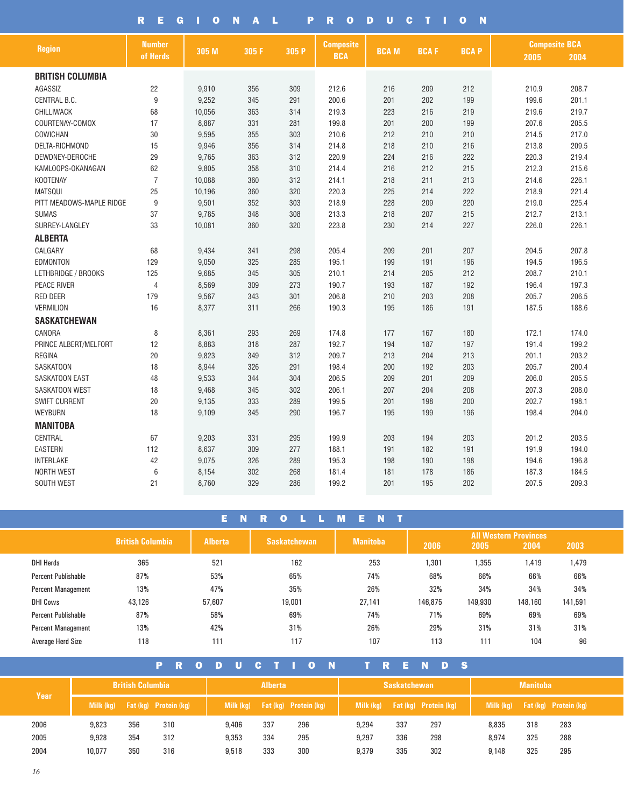|                          | Е<br>R<br>G    | $\mathbf o$ | N<br>A | L<br>P | R<br>O           | D<br>U      | C<br>т      | N<br>$\mathbf o$ |                      |       |
|--------------------------|----------------|-------------|--------|--------|------------------|-------------|-------------|------------------|----------------------|-------|
| <b>Region</b>            | <b>Number</b>  | 305 M       | 305 F  | 305 P  | <b>Composite</b> | <b>BCAM</b> | <b>BCAF</b> | <b>BCAP</b>      | <b>Composite BCA</b> |       |
|                          | of Herds       |             |        |        | <b>BCA</b>       |             |             |                  | 2005                 | 2004  |
| <b>BRITISH COLUMBIA</b>  |                |             |        |        |                  |             |             |                  |                      |       |
| AGASSIZ                  | 22             | 9,910       | 356    | 309    | 212.6            | 216         | 209         | 212              | 210.9                | 208.7 |
| CENTRAL B.C.             | 9              | 9,252       | 345    | 291    | 200.6            | 201         | 202         | 199              | 199.6                | 201.1 |
| CHILLIWACK               | 68             | 10,056      | 363    | 314    | 219.3            | 223         | 216         | 219              | 219.6                | 219.7 |
| COURTENAY-COMOX          | 17             | 8,887       | 331    | 281    | 199.8            | 201         | 200         | 199              | 207.6                | 205.5 |
| COWICHAN                 | 30             | 9,595       | 355    | 303    | 210.6            | 212         | 210         | 210              | 214.5                | 217.0 |
| DELTA-RICHMOND           | 15             | 9,946       | 356    | 314    | 214.8            | 218         | 210         | 216              | 213.8                | 209.5 |
| DEWDNEY-DEROCHE          | 29             | 9,765       | 363    | 312    | 220.9            | 224         | 216         | 222              | 220.3                | 219.4 |
| KAMLOOPS-OKANAGAN        | 62             | 9,805       | 358    | 310    | 214.4            | 216         | 212         | 215              | 212.3                | 215.6 |
| <b>KOOTENAY</b>          | $\overline{7}$ | 10,088      | 360    | 312    | 214.1            | 218         | 211         | 213              | 214.6                | 226.1 |
| <b>MATSQUI</b>           | 25             | 10,196      | 360    | 320    | 220.3            | 225         | 214         | 222              | 218.9                | 221.4 |
| PITT MEADOWS-MAPLE RIDGE | 9              | 9,501       | 352    | 303    | 218.9            | 228         | 209         | 220              | 219.0                | 225.4 |
| <b>SUMAS</b>             | 37             | 9,785       | 348    | 308    | 213.3            | 218         | 207         | 215              | 212.7                | 213.1 |
| SURREY-LANGLEY           | 33             | 10,081      | 360    | 320    | 223.8            | 230         | 214         | 227              | 226.0                | 226.1 |
| <b>ALBERTA</b>           |                |             |        |        |                  |             |             |                  |                      |       |
| CALGARY                  | 68             | 9,434       | 341    | 298    | 205.4            | 209         | 201         | 207              | 204.5                | 207.8 |
| <b>EDMONTON</b>          | 129            | 9,050       | 325    | 285    | 195.1            | 199         | 191         | 196              | 194.5                | 196.5 |
| LETHBRIDGE / BROOKS      | 125            | 9,685       | 345    | 305    | 210.1            | 214         | 205         | 212              | 208.7                | 210.1 |
| <b>PEACE RIVER</b>       | 4              | 8,569       | 309    | 273    | 190.7            | 193         | 187         | 192              | 196.4                | 197.3 |
| <b>RED DEER</b>          | 179            | 9,567       | 343    | 301    | 206.8            | 210         | 203         | 208              | 205.7                | 206.5 |
| <b>VERMILION</b>         | 16             | 8.377       | 311    | 266    | 190.3            | 195         | 186         | 191              | 187.5                | 188.6 |
| <b>SASKATCHEWAN</b>      |                |             |        |        |                  |             |             |                  |                      |       |
| CANORA                   | 8              | 8,361       | 293    | 269    | 174.8            | 177         | 167         | 180              | 172.1                | 174.0 |
| PRINCE ALBERT/MELFORT    | 12             | 8,883       | 318    | 287    | 192.7            | 194         | 187         | 197              | 191.4                | 199.2 |
| <b>REGINA</b>            | 20             | 9,823       | 349    | 312    | 209.7            | 213         | 204         | 213              | 201.1                | 203.2 |
| <b>SASKATOON</b>         | 18             | 8,944       | 326    | 291    | 198.4            | 200         | 192         | 203              | 205.7                | 200.4 |
| SASKATOON EAST           | 48             | 9,533       | 344    | 304    | 206.5            | 209         | 201         | 209              | 206.0                | 205.5 |
| SASKATOON WEST           | 18             | 9,468       | 345    | 302    | 206.1            | 207         | 204         | 208              | 207.3                | 208.0 |
| <b>SWIFT CURRENT</b>     | 20             | 9,135       | 333    | 289    | 199.5            | 201         | 198         | 200              | 202.7                | 198.1 |
| <b>WEYBURN</b>           | 18             | 9.109       | 345    | 290    | 196.7            | 195         | 199         | 196              | 198.4                | 204.0 |
| <b>MANITOBA</b>          |                |             |        |        |                  |             |             |                  |                      |       |
| CENTRAL                  | 67             | 9,203       | 331    | 295    | 199.9            | 203         | 194         | 203              | 201.2                | 203.5 |
| <b>EASTERN</b>           | 112            | 8,637       | 309    | 277    | 188.1            | 191         | 182         | 191              | 191.9                | 194.0 |
| <b>INTERLAKE</b>         | 42             | 9,075       | 326    | 289    | 195.3            | 198         | 190         | 198              | 194.6                | 196.8 |
| <b>NORTH WEST</b>        | 6              | 8,154       | 302    | 268    | 181.4            | 181         | 178         | 186              | 187.3                | 184.5 |
| SOUTH WEST               | 21             | 8,760       | 329    | 286    | 199.2            | 201         | 195         | 202              | 207.5                | 209.3 |

|                            |                         | N<br>Е         | R<br>$\Omega$       | м<br>Е.         |         |         |                               |         |
|----------------------------|-------------------------|----------------|---------------------|-----------------|---------|---------|-------------------------------|---------|
|                            | <b>British Columbia</b> | <b>Alberta</b> | <b>Saskatchewan</b> | <b>Manitoba</b> | 2006    | 2005    | All Western Provinces<br>2004 | 2003    |
|                            |                         |                |                     |                 |         |         |                               |         |
| <b>DHI Herds</b>           | 365                     | 521            | 162                 | 253             | 1,301   | 1,355   | 1,419                         | 1,479   |
| Percent Publishable        | 87%                     | 53%            | 65%                 | 74%             | 68%     | 66%     | 66%                           | 66%     |
| <b>Percent Management</b>  | 13%                     | 47%            | 35%                 | 26%             | 32%     | 34%     | 34%                           | 34%     |
| <b>DHI Cows</b>            | 43,126                  | 57,607         | 19,001              | 27.141          | 146,875 | 149,930 | 148,160                       | 141,591 |
| <b>Percent Publishable</b> | 87%                     | 58%            | 69%                 | 74%             | 71%     | 69%     | 69%                           | 69%     |
| <b>Percent Management</b>  | 13%                     | 42%            | 31%                 | 26%             | 29%     | 31%     | 31%                           | 31%     |
| Average Herd Size          | 118                     | 111            | 117                 | 107             | 113     | 111     | 104                           | 96      |

|      |        |                         | <b>PR</b>                       |  |       |                | ODUCTION                        |  |           |     | TRENDS                       |  |           |                 |                              |  |
|------|--------|-------------------------|---------------------------------|--|-------|----------------|---------------------------------|--|-----------|-----|------------------------------|--|-----------|-----------------|------------------------------|--|
|      |        | <b>British Columbia</b> |                                 |  |       | <b>Alberta</b> |                                 |  |           |     | <b>Saskatchewan</b>          |  |           | <b>Manitoba</b> |                              |  |
| Year |        |                         | Milk (kg) Fat (kg) Protein (kg) |  |       |                | Milk (kg) Fat (kg) Protein (kg) |  | Milk (kg) |     | <b>Fat (kg)</b> Protein (kg) |  | Milk (kg) |                 | <b>Fat (kg)</b> Protein (kg) |  |
| 2006 | 9,823  | 356                     | 310                             |  | 9,406 | 337            | 296                             |  | 9.294     | 337 | 297                          |  | 8,835     | 318             | 283                          |  |
| 2005 | 9,928  | 354                     | 312                             |  | 9.353 | 334            | 295                             |  | 9.297     | 336 | 298                          |  | 8.974     | 325             | 288                          |  |
| 2004 | 10.077 | 350                     | 316                             |  | 9,518 | 333            | 300                             |  | 9.379     | 335 | 302                          |  | 9,148     | 325             | 295                          |  |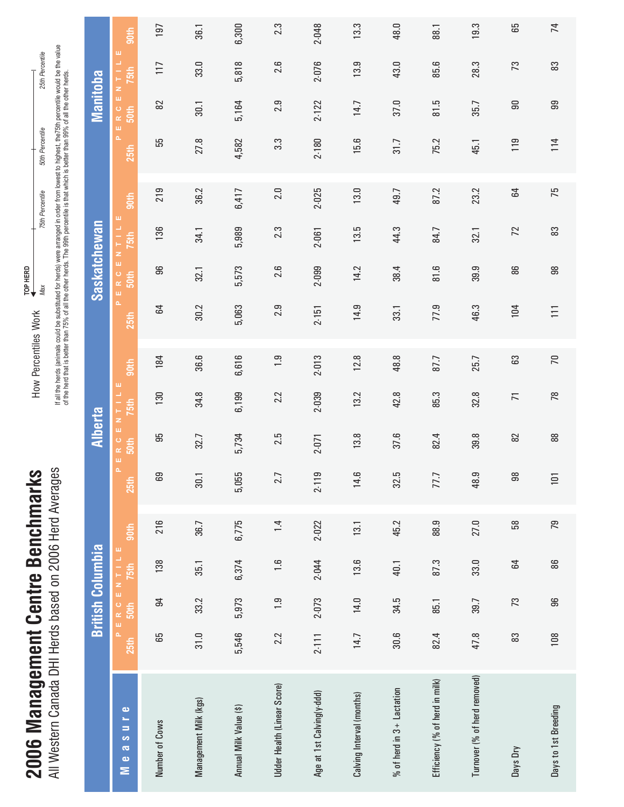| ì<br>ļ                                                    | Nuaran<br>$\frac{1}{2}$<br>2006 Herd |
|-----------------------------------------------------------|--------------------------------------|
| Rar<br>1<br>Contri                                        | s<br>P<br>I<br>based on $2$          |
| $\frac{1}{2}$<br>֧֧֪֧֧֚֬֓֓֓֓֓֓֓֓֓֓֓֓֓֓֓֓֓֓֓֓֡֬֓֓֓֓֡֬֓֓֓֓֓ | l Herd                               |
| I haananana I                                             | Janada DH                            |
| COOC                                                      | <b>Contained</b>                     |

*Max 50th Percentile 75th Percentile 25th Percentile* 50th Percentile 75th Percentile  $\begin{array}{c}\n\text{TOP HERD}\n\\
\text{Max} \n\end{array}$ **TOP HERD** How Percentiles Work How Percentiles Work

25th Percentile

If all the herds (animals could be substituted for herds) were arranged in order from lowest to highest, the75th percentile would be the value<br>of the herd that is better than 75% of all the other herds. The 99th percentile If all the herds (animals could be substituted for herds) were arranged in order from lowest to highest, the75th percentile would be the value of the herd that is better than 75% of all the other herds. The 99th percentile is that which is better than 99% of all the other herds.

|                                                                        |           |            | <b>British Columbia</b> |       |                     | <b>Alberta</b> |                       |                  |       | <b>Saskatchewan</b> |                           |       |                  | <b>Manitoba</b> |                           |       |
|------------------------------------------------------------------------|-----------|------------|-------------------------|-------|---------------------|----------------|-----------------------|------------------|-------|---------------------|---------------------------|-------|------------------|-----------------|---------------------------|-------|
| $\bullet$<br>ъ,<br>Ξ<br>S<br>$\overline{\mathbf{c}}$<br>$\bullet$<br>Σ | 25th      | 50th       | PERCENTILE<br>75th      | 90th  | w,<br>ä,<br>25th    | R C<br>50th    | ENTILE<br><b>75th</b> | 90 <sup>th</sup> | 25th  | PERC<br>50th        | щ<br>ENTIL<br><b>75th</b> | 90th  | ä,<br>25th       | $E R C$<br>50th | ш<br>ENTIL<br><b>75th</b> | 90th  |
| Number of Cows                                                         | 65        | 54         | 138                     | 216   | 69                  | 56             | 130                   | 184              | 64    | 96                  | 136                       | 219   | 55               | 82              | 117                       | 197   |
| Management Milk (kgs)                                                  | 31.0      | 33.2       | 35.1                    | 36.7  | 30.1                | 32.7           | 34.8                  | 36.6             | 30.2  | 32.1                | 34.1                      | 36.2  | 27.8             | 30.1            | 33.0                      | 36.1  |
| Annual Milk Value (\$)                                                 | 5,546     | 5,973      | 6,374                   | 6,775 | 5,055               | 5,734          | 6,199                 | 6,616            | 5,063 | 5,573               | 5,989                     | 6,417 | 4,582            | 5,164           | 5,818                     | 6,300 |
| Udder Health (Linear Score)                                            | 2.2       | $\ddot{0}$ | 1.6                     | 1.4   | 2.7                 | 2.5            | 2.2                   | 1.9              | 2.9   | 2.6                 | 2.3                       | 2.0   | $3.\overline{3}$ | 2.9             | 2.6                       | 2.3   |
| Age at 1st Calving(y-ddd)                                              | $2 - 111$ | 2-073      | 2-044                   | 2-022 | 9<br>$2-11$         | 2-071          | 2.039                 | 2-013            | 2.151 | 2.099               | 2-061                     | 2.025 | $2 - 180$        | 2.122           | 2.076                     | 2-048 |
| Calving Interval (months)                                              | 14.7      | 14.0       | 13.6                    | 13.1  | ِ<br>$\overline{4}$ | 13.8           | 13.2                  | 12.8             | 14.9  | 14.2                | 13.5                      | 13.0  | 15.6             | 14.7            | 13.9                      | 13.3  |
| $%$ of herd in $3 +$ Lactation                                         | 30.6      | 34.5       | 40.1                    | 45.2  | بما<br>32.          | 37.6           | 42.8                  | 48.8             | 33.1  | 38.4                | 44.3                      | 49.7  | 31.7             | 37.0            | 43.0                      | 48.0  |
| Efficiency (% of herd in milk)                                         | 82.4      | 85.1       | 87.3                    | 88.9  | 77.7                | 82.4           | 85.3                  | 87.7             | 77.9  | $\frac{81.6}{ }$    | 84.7                      | 87.2  | 75.2             | 81.5            | 85.6                      | 88.1  |
| Turnover (% of herd removed)                                           | 47.8      | 39.7       | 33.0                    | 27.0  | G<br>$48$ .         | 39.8           | 32.8                  | 25.7             | 46.3  | 39.9                | 32.1                      | 23.2  | 45.1             | 35.7            | 28.3                      | 19.3  |
| Days Dry                                                               | 83        | 73         | 54                      | 58    | $\frac{8}{3}$       | 82             | $\overline{7}$        | 63               | 104   | 86                  | 72                        | 54    | 119              | 90              | 73                        | 65    |
| Days to 1st Breeding                                                   | 108       | 96         | 86                      | 79    | 101                 | 88             | 78                    | $\overline{70}$  | 111   | 86                  | 83                        | 75    | 114              | 99              | 83                        | 74    |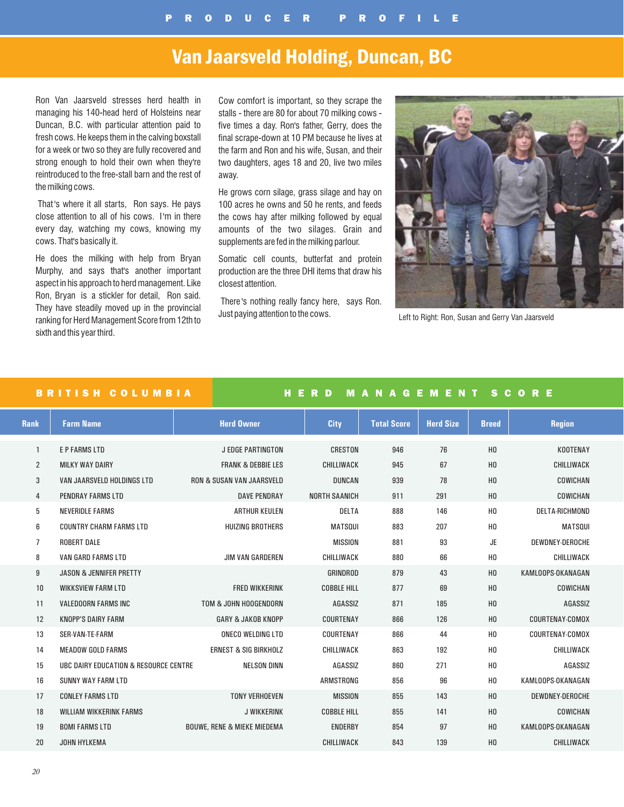## Van Jaarsveld Holding, Duncan, BC

Ron Van Jaarsveld stresses herd health in managing his 140-head herd of Holsteins near Duncan, B.C. with particular attention paid to fresh cows. He keeps them in the calving boxstall for a week or two so they are fully recovered and strong enough to hold their own when they're reintroduced to the free-stall barn and the rest of the milking cows.

That 's where it all starts, Ron says. He pays close attention to all of his cows. I'm in there every day, watching my cows, knowing my cows. That's basically it.

He does the milking with help from Bryan Murphy, and says that's another important aspect in his approach to herd management. Like Ron, Bryan is a stickler for detail, Ron said. They have steadily moved up in the provincial ranking for Herd Management Score from 12th to sixth and this year third.

Cow comfort is important, so they scrape the stalls - there are 80 for about 70 milking cows five times a day. Ron's father, Gerry, does the final scrape-down at 10 PM because he lives at the farm and Ron and his wife, Susan, and their two daughters, ages 18 and 20, live two miles away.

He grows corn silage, grass silage and hay on 100 acres he owns and 50 he rents, and feeds the cows hay after milking followed by equal amounts of the two silages. Grain and supplements are fed in the milking parlour.

Somatic cell counts, butterfat and protein production are the three DHI items that draw his closest attention.

There 's nothing really fancy here, says Ron. Just paying attention to the cows. Left to Right: Ron, Susan and Gerry Van Jaarsveld



### BRITISH COLUMBIA HER D MANAGEMENT SCORE

| <b>Rank</b>    | <b>Farm Name</b>                      | <b>Herd Owner</b>                      | <b>City</b>          | <b>Total Score</b> | <b>Herd Size</b> | <b>Breed</b>   | <b>Region</b>         |
|----------------|---------------------------------------|----------------------------------------|----------------------|--------------------|------------------|----------------|-----------------------|
|                | <b>E P FARMS LTD</b>                  | <b>J EDGE PARTINGTON</b>               | <b>CRESTON</b>       | 946                | 76               | H <sub>0</sub> | KOOTENAY              |
| $\overline{2}$ | <b>MILKY WAY DAIRY</b>                | <b>FRANK &amp; DEBBIE LES</b>          | <b>CHILLIWACK</b>    | 945                | 67               | H <sub>0</sub> | CHILLIWACK            |
| 3              | VAN JAARSVELD HOLDINGS LTD            | <b>RON &amp; SUSAN VAN JAARSVELD</b>   | <b>DUNCAN</b>        | 939                | 78               | H <sub>0</sub> | COWICHAN              |
| 4              | <b>PENDRAY FARMS LTD</b>              | <b>DAVE PENDRAY</b>                    | <b>NORTH SAANICH</b> | 911                | 291              | H <sub>0</sub> | COWICHAN              |
| 5              | <b>NEVERIDLE FARMS</b>                | <b>ARTHUR KEULEN</b>                   | DELTA                | 888                | 146              | H <sub>0</sub> | <b>DELTA-RICHMOND</b> |
| 6              | <b>COUNTRY CHARM FARMS LTD</b>        | <b>HUIZING BROTHERS</b>                | <b>MATSQUI</b>       | 883                | 207              | H <sub>0</sub> | <b>MATSQUI</b>        |
| $\overline{7}$ | <b>ROBERT DALE</b>                    |                                        | <b>MISSION</b>       | 881                | 93               | <b>JE</b>      | DEWDNEY-DEROCHE       |
| 8              | <b>VAN GARD FARMS LTD</b>             | <b>JIM VAN GARDEREN</b>                | CHILLIWACK           | 880                | 66               | H <sub>0</sub> | CHILLIWACK            |
| 9              | <b>JASON &amp; JENNIFER PRETTY</b>    |                                        | GRINDROD             | 879                | 43               | H <sub>0</sub> | KAMLOOPS-OKANAGAN     |
| 10             | <b>WIKKSVIEW FARM LTD</b>             | <b>FRED WIKKERINK</b>                  | <b>COBBLE HILL</b>   | 877                | 69               | H <sub>0</sub> | COWICHAN              |
| 11             | <b>VALEDOORN FARMS INC</b>            | TOM & JOHN HOOGENDORN                  | <b>AGASSIZ</b>       | 871                | 185              | H <sub>0</sub> | <b>AGASSIZ</b>        |
| 12             | <b>KNOPP'S DAIRY FARM</b>             | <b>GARY &amp; JAKOB KNOPP</b>          | COURTENAY            | 866                | 126              | H <sub>0</sub> | COURTENAY-COMOX       |
| 13             | SER-VAN-TE-FARM                       | <b>ONECO WELDING LTD</b>               | COURTENAY            | 866                | 44               | H <sub>0</sub> | COURTENAY-COMOX       |
| 14             | <b>MEADOW GOLD FARMS</b>              | <b>ERNEST &amp; SIG BIRKHOLZ</b>       | CHILLIWACK           | 863                | 192              | H <sub>0</sub> | CHILLIWACK            |
| 15             | UBC DAIRY EDUCATION & RESOURCE CENTRE | <b>NELSON DINN</b>                     | AGASSIZ              | 860                | 271              | H <sub>0</sub> | AGASSIZ               |
| 16             | <b>SUNNY WAY FARM LTD</b>             |                                        | ARMSTRONG            | 856                | 96               | H <sub>0</sub> | KAMLOOPS-OKANAGAN     |
| 17             | <b>CONLEY FARMS LTD</b>               | <b>TONY VERHOEVEN</b>                  | <b>MISSION</b>       | 855                | 143              | H <sub>0</sub> | DEWDNEY-DEROCHE       |
| 18             | <b>WILLIAM WIKKERINK FARMS</b>        | <b>J WIKKERINK</b>                     | <b>COBBLE HILL</b>   | 855                | 141              | H <sub>0</sub> | COWICHAN              |
| 19             | <b>BOMI FARMS LTD</b>                 | <b>BOUWE, RENE &amp; MIEKE MIEDEMA</b> | <b>ENDERBY</b>       | 854                | 97               | H <sub>0</sub> | KAMLOOPS-OKANAGAN     |
| 20             | JOHN HYLKEMA                          |                                        | CHILLIWACK           | 843                | 139              | H <sub>0</sub> | CHILLIWACK            |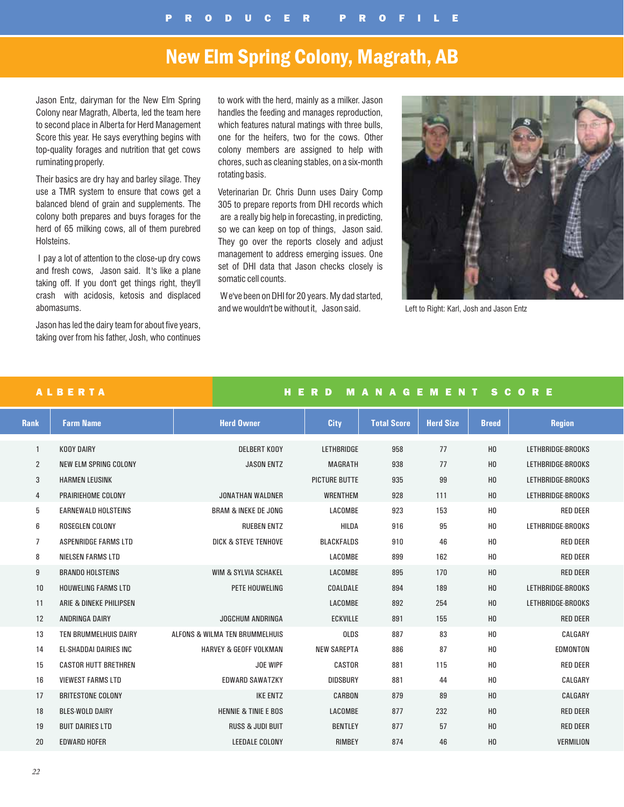# New Elm Spring Colony, Magrath, AB

Jason Entz, dairyman for the New Elm Spring Colony near Magrath, Alberta, led the team here to second place in Alberta for Herd Management Score this year. He says everything begins with top-quality forages and nutrition that get cows ruminating properly.

Their basics are dry hay and barley silage. They use a TMR system to ensure that cows get a balanced blend of grain and supplements. The colony both prepares and buys forages for the herd of 65 milking cows, all of them purebred Holsteins.

I pay a lot of attention to the close-up dry cows and fresh cows, Jason said. It 's like a plane taking off. If you don't get things right, they'll crash with acidosis, ketosis and displaced abomasums.

Jason has led the dairy team for about five years, taking over from his father, Josh, who continues to work with the herd, mainly as a milker. Jason handles the feeding and manages reproduction, which features natural matings with three bulls, one for the heifers, two for the cows. Other colony members are assigned to help with chores, such as cleaning stables, on a six-month rotating basis.

Veterinarian Dr. Chris Dunn uses Dairy Comp 305 to prepare reports from DHI records which are a really big help in forecasting, in predicting, so we can keep on top of things, Jason said. They go over the reports closely and adjust management to address emerging issues. One set of DHI data that Jason checks closely is somatic cell counts.

We've been on DHI for 20 years. My dad started, and we wouldn't be without it, Jason said. Left to Right: Karl, Josh and Jason Entz



|                | <b>ALBERTA</b>                |                                   | HERD                 | <b>MANAGEMENT</b>  |                  | <b>SCORE</b>   |                   |  |  |  |
|----------------|-------------------------------|-----------------------------------|----------------------|--------------------|------------------|----------------|-------------------|--|--|--|
| <b>Rank</b>    | <b>Farm Name</b>              | <b>Herd Owner</b>                 | <b>City</b>          | <b>Total Score</b> | <b>Herd Size</b> | <b>Breed</b>   | <b>Region</b>     |  |  |  |
| $\mathbf{1}$   | <b>KOOY DAIRY</b>             | <b>DELBERT KOOY</b>               | <b>LETHBRIDGE</b>    | 958                | 77               | H <sub>0</sub> | LETHBRIDGE-BROOKS |  |  |  |
| $\overline{2}$ | <b>NEW ELM SPRING COLONY</b>  | <b>JASON ENTZ</b>                 | <b>MAGRATH</b>       | 938                | 77               | H <sub>0</sub> | LETHBRIDGE-BROOKS |  |  |  |
| 3              | <b>HARMEN LEUSINK</b>         |                                   | <b>PICTURE BUTTE</b> | 935                | 99               | H <sub>0</sub> | LETHBRIDGE-BROOKS |  |  |  |
| 4              | PRAIRIEHOME COLONY            | <b>JONATHAN WALDNER</b>           | <b>WRENTHEM</b>      | 928                | 111              | H <sub>0</sub> | LETHBRIDGE-BROOKS |  |  |  |
| 5              | <b>EARNEWALD HOLSTEINS</b>    | <b>BRAM &amp; INEKE DE JONG</b>   | LACOMBE              | 923                | 153              | H <sub>0</sub> | <b>RED DEER</b>   |  |  |  |
| 6              | <b>ROSEGLEN COLONY</b>        | <b>RUEBEN ENTZ</b>                | <b>HILDA</b>         | 916                | 95               | HO             | LETHBRIDGE-BROOKS |  |  |  |
| 7              | ASPENRIDGE FARMS LTD          | <b>DICK &amp; STEVE TENHOVE</b>   | <b>BLACKFALDS</b>    | 910                | 46               | H <sub>0</sub> | <b>RED DEER</b>   |  |  |  |
| 8              | <b>NIELSEN FARMS LTD</b>      |                                   | LACOMBE              | 899                | 162              | H <sub>0</sub> | <b>RED DEER</b>   |  |  |  |
| 9              | <b>BRANDO HOLSTEINS</b>       | <b>WIM &amp; SYLVIA SCHAKEL</b>   | LACOMBE              | 895                | 170              | H <sub>0</sub> | <b>RED DEER</b>   |  |  |  |
| 10             | <b>HOUWELING FARMS LTD</b>    | PETE HOUWELING                    | COALDALE             | 894                | 189              | H <sub>0</sub> | LETHBRIDGE-BROOKS |  |  |  |
| 11             | ARIE & DINEKE PHILIPSEN       |                                   | LACOMBE              | 892                | 254              | H <sub>0</sub> | LETHBRIDGE-BROOKS |  |  |  |
| 12             | ANDRINGA DAIRY                | <b>JOGCHUM ANDRINGA</b>           | <b>ECKVILLE</b>      | 891                | 155              | H <sub>0</sub> | <b>RED DEER</b>   |  |  |  |
| 13             | TEN BRUMMELHUIS DAIRY         | ALFONS & WILMA TEN BRUMMELHUIS    | <b>OLDS</b>          | 887                | 83               | H <sub>0</sub> | CALGARY           |  |  |  |
| 14             | <b>EL-SHADDAI DAIRIES INC</b> | <b>HARVEY &amp; GEOFF VOLKMAN</b> | <b>NEW SAREPTA</b>   | 886                | 87               | H <sub>0</sub> | EDMONTON          |  |  |  |
| 15             | <b>CASTOR HUTT BRETHREN</b>   | <b>JOE WIPF</b>                   | CASTOR               | 881                | 115              | H <sub>0</sub> | <b>RED DEER</b>   |  |  |  |
| 16             | <b>VIEWEST FARMS LTD</b>      | <b>EDWARD SAWATZKY</b>            | <b>DIDSBURY</b>      | 881                | 44               | H <sub>0</sub> | CALGARY           |  |  |  |
| 17             | <b>BRITESTONE COLONY</b>      | <b>IKE ENTZ</b>                   | CARBON               | 879                | 89               | H <sub>0</sub> | CALGARY           |  |  |  |
| 18             | <b>BLES-WOLD DAIRY</b>        | <b>HENNIE &amp; TINIE E BOS</b>   | LACOMBE              | 877                | 232              | H <sub>0</sub> | <b>RED DEER</b>   |  |  |  |
| 19             | <b>BUIT DAIRIES LTD</b>       | <b>RUSS &amp; JUDI BUIT</b>       | <b>BENTLEY</b>       | 877                | 57               | H <sub>0</sub> | <b>RED DEER</b>   |  |  |  |
| 20             | <b>EDWARD HOFER</b>           | <b>LEEDALE COLONY</b>             | <b>RIMBEY</b>        | 874                | 46               | H <sub>0</sub> | VERMILION         |  |  |  |
|                |                               |                                   |                      |                    |                  |                |                   |  |  |  |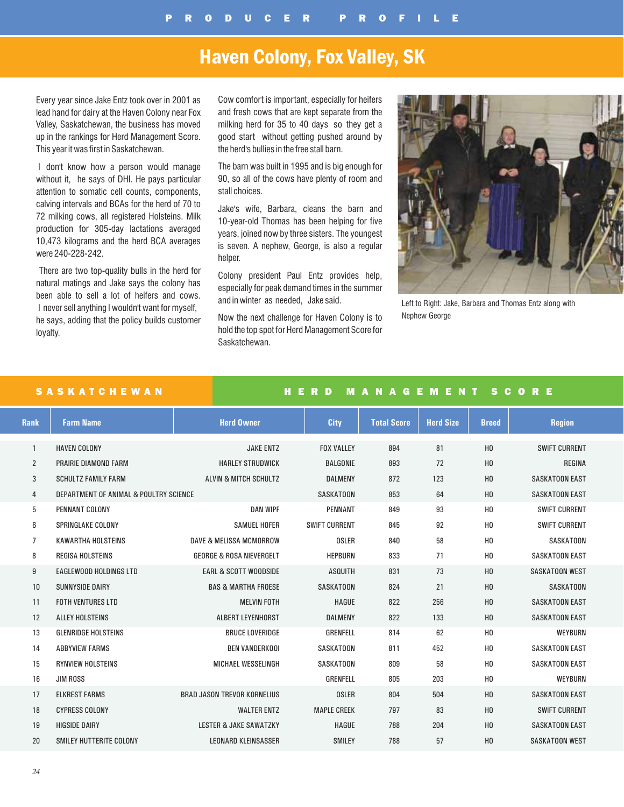# Haven Colony, Fox Valley, SK

Every year since Jake Entz took over in 2001 as lead hand for dairy at the Haven Colony near Fox Valley, Saskatchewan, the business has moved up in the rankings for Herd Management Score. This year it was first in Saskatchewan.

I don't know how a person would manage without it, he says of DHI. He pays particular attention to somatic cell counts, components, calving intervals and BCAs for the herd of 70 to 72 milking cows, all registered Holsteins. Milk production for 305-day lactations averaged 10,473 kilograms and the herd BCA averages were 240-228-242.

There are two top-quality bulls in the herd for natural matings and Jake says the colony has been able to sell a lot of heifers and cows. I never sell anything I wouldn't want for myself, he says, adding that the policy builds customer loyalty.

Cow comfort is important, especially for heifers and fresh cows that are kept separate from the milking herd for 35 to 40 days so they get a good start without getting pushed around by the herd's bullies in the free stall barn.

The barn was built in 1995 and is big enough for 90, so all of the cows have plenty of room and stall choices.

Jake's wife, Barbara, cleans the barn and 10-year-old Thomas has been helping for five years, joined now by three sisters. The youngest is seven. A nephew, George, is also a regular helper.

Colony president Paul Entz provides help, especially for peak demand times in the summer and in winter as needed, Jake said.

Now the next challenge for Haven Colony is to hold the top spot for Herd Management Score for Saskatchewan.



Left to Right: Jake, Barbara and Thomas Entz along with Nephew George

### SASKATCHEWAN HERD MANAGEMENT SCORE

| <b>Rank</b>    | <b>Farm Name</b>                       | <b>Herd Owner</b>                   | <b>City</b>          | <b>Total Score</b> | <b>Herd Size</b> | <b>Breed</b>   | <b>Region</b>         |
|----------------|----------------------------------------|-------------------------------------|----------------------|--------------------|------------------|----------------|-----------------------|
| 1              | <b>HAVEN COLONY</b>                    | <b>JAKE ENTZ</b>                    | <b>FOX VALLEY</b>    | 894                | 81               | H <sub>0</sub> | <b>SWIFT CURRENT</b>  |
| $\overline{2}$ | PRAIRIE DIAMOND FARM                   | <b>HARLEY STRUDWICK</b>             | <b>BALGONIE</b>      | 893                | 72               | H <sub>0</sub> | REGINA                |
| 3              | <b>SCHULTZ FAMILY FARM</b>             | ALVIN & MITCH SCHULTZ               | <b>DALMENY</b>       | 872                | 123              | H <sub>0</sub> | <b>SASKATOON EAST</b> |
| 4              | DEPARTMENT OF ANIMAL & POULTRY SCIENCE |                                     | SASKATOON            | 853                | 64               | H <sub>0</sub> | <b>SASKATOON EAST</b> |
| 5              | PENNANT COLONY                         | <b>DAN WIPF</b>                     | <b>PENNANT</b>       | 849                | 93               | H <sub>0</sub> | <b>SWIFT CURRENT</b>  |
| 6              | <b>SPRINGLAKE COLONY</b>               | <b>SAMUEL HOFER</b>                 | <b>SWIFT CURRENT</b> | 845                | 92               | H <sub>0</sub> | <b>SWIFT CURRENT</b>  |
| 7              | <b>KAWARTHA HOLSTEINS</b>              | DAVE & MELISSA MCMORROW             | OSLER                | 840                | 58               | H <sub>0</sub> | <b>SASKATOON</b>      |
| 8              | <b>REGISA HOLSTEINS</b>                | <b>GEORGE &amp; ROSA NIEVERGELT</b> | <b>HEPBURN</b>       | 833                | 71               | H <sub>0</sub> | <b>SASKATOON EAST</b> |
| 9              | <b>EAGLEWOOD HOLDINGS LTD</b>          | <b>EARL &amp; SCOTT WOODSIDE</b>    | <b>ASQUITH</b>       | 831                | 73               | H <sub>0</sub> | <b>SASKATOON WEST</b> |
| 10             | <b>SUNNYSIDE DAIRY</b>                 | <b>BAS &amp; MARTHA FROESE</b>      | SASKATOON            | 824                | 21               | H <sub>0</sub> | <b>SASKATOON</b>      |
| 11             | <b>FOTH VENTURES LTD</b>               | <b>MELVIN FOTH</b>                  | <b>HAGUE</b>         | 822                | 256              | H <sub>0</sub> | <b>SASKATOON EAST</b> |
| 12             | ALLEY HOLSTEINS                        | ALBERT LEYENHORST                   | <b>DALMENY</b>       | 822                | 133              | H <sub>0</sub> | <b>SASKATOON EAST</b> |
| 13             | <b>GLENRIDGE HOLSTEINS</b>             | <b>BRUCE LOVERIDGE</b>              | GRENFELL             | 814                | 62               | H <sub>0</sub> | <b>WEYBURN</b>        |
| 14             | <b>ABBYVIEW FARMS</b>                  | <b>BEN VANDERKOOI</b>               | SASKATOON            | 811                | 452              | H <sub>0</sub> | <b>SASKATOON EAST</b> |
| 15             | <b>RYNVIEW HOLSTEINS</b>               | <b>MICHAEL WESSELINGH</b>           | SASKATOON            | 809                | 58               | H <sub>0</sub> | <b>SASKATOON EAST</b> |
| 16             | <b>JIM ROSS</b>                        |                                     | GRENFELL             | 805                | 203              | H <sub>0</sub> | <b>WEYBURN</b>        |
| 17             | <b>ELKREST FARMS</b>                   | <b>BRAD JASON TREVOR KORNELIUS</b>  | <b>OSLER</b>         | 804                | 504              | H <sub>0</sub> | <b>SASKATOON EAST</b> |
| 18             | <b>CYPRESS COLONY</b>                  | <b>WALTER ENTZ</b>                  | <b>MAPLE CREEK</b>   | 797                | 83               | H <sub>0</sub> | <b>SWIFT CURRENT</b>  |
| 19             | <b>HIGSIDE DAIRY</b>                   | <b>LESTER &amp; JAKE SAWATZKY</b>   | <b>HAGUE</b>         | 788                | 204              | H <sub>0</sub> | <b>SASKATOON EAST</b> |
| 20             | SMILEY HUTTERITE COLONY                | <b>LEONARD KLEINSASSER</b>          | <b>SMILEY</b>        | 788                | 57               | H <sub>0</sub> | <b>SASKATOON WEST</b> |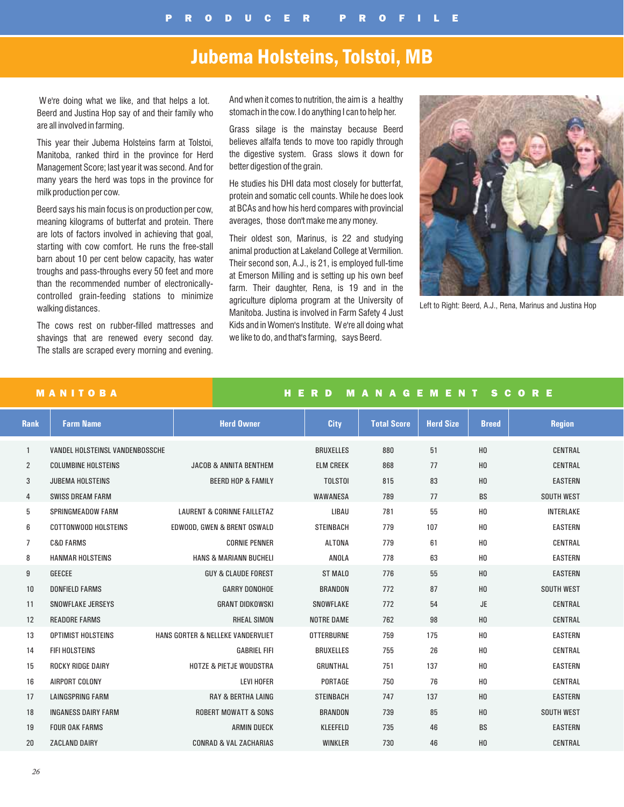## Jubema Holsteins, Tolstoi, MB

We're doing what we like, and that helps a lot. Beerd and Justina Hop say of and their family who are all involved in farming.

This year their Jubema Holsteins farm at Tolstoi, Manitoba, ranked third in the province for Herd Management Score; last year it was second. And for many years the herd was tops in the province for milk production per cow.

Beerd says his main focus is on production per cow, meaning kilograms of butterfat and protein. There are lots of factors involved in achieving that goal, starting with cow comfort. He runs the free-stall barn about 10 per cent below capacity, has water troughs and pass-throughs every 50 feet and more than the recommended number of electronicallycontrolled grain-feeding stations to minimize walking distances.

The cows rest on rubber-filled mattresses and shavings that are renewed every second day. The stalls are scraped every morning and evening. And when it comes to nutrition, the aim is a healthy stomach in the cow. I do anything I can to help her.

Grass silage is the mainstay because Beerd believes alfalfa tends to move too rapidly through the digestive system. Grass slows it down for better digestion of the grain.

He studies his DHI data most closely for butterfat, protein and somatic cell counts. While he does look at BCAs and how his herd compares with provincial averages, those don't make me any money.

Their oldest son, Marinus, is 22 and studying animal production at Lakeland College at Vermilion. Their second son, A.J., is 21, is employed full-time at Emerson Milling and is setting up his own beef farm. Their daughter, Rena, is 19 and in the agriculture diploma program at the University of Manitoba. Justina is involved in Farm Safety 4 Just Kids and in Women's Institute. We're all doing what we like to do, and that's farming, says Beerd.



Left to Right: Beerd, A.J., Rena, Marinus and Justina Hop

|                | <b>MANITOBA</b>                 |                                        | Æ.<br>R D<br>н    | <b>M</b>           | <b>ANAGEMENT</b> |                | <b>SCORE</b>      |
|----------------|---------------------------------|----------------------------------------|-------------------|--------------------|------------------|----------------|-------------------|
| <b>Rank</b>    | <b>Farm Name</b>                | <b>Herd Owner</b>                      | <b>City</b>       | <b>Total Score</b> | <b>Herd Size</b> | <b>Breed</b>   | <b>Region</b>     |
| $\mathbf{1}$   | VANDEL HOLSTEINSL VANDENBOSSCHE |                                        | <b>BRUXELLES</b>  | 880                | 51               | H <sub>0</sub> | <b>CENTRAL</b>    |
| 2              | <b>COLUMBINE HOLSTEINS</b>      | <b>JACOB &amp; ANNITA BENTHEM</b>      | <b>ELM CREEK</b>  | 868                | 77               | H <sub>0</sub> | CENTRAL           |
| 3              | <b>JUBEMA HOLSTEINS</b>         | <b>BEERD HOP &amp; FAMILY</b>          | <b>TOLSTOI</b>    | 815                | 83               | H <sub>0</sub> | <b>EASTERN</b>    |
| 4              | <b>SWISS DREAM FARM</b>         |                                        | WAWANESA          | 789                | 77               | <b>BS</b>      | <b>SOUTH WEST</b> |
| 5              | <b>SPRINGMEADOW FARM</b>        | <b>LAURENT &amp; CORINNE FAILLETAZ</b> | LIBAU             | 781                | 55               | H <sub>0</sub> | INTERLAKE         |
| 6              | <b>COTTONWOOD HOLSTEINS</b>     | EDWOOD, GWEN & BRENT OSWALD            | <b>STEINBACH</b>  | 779                | 107              | H <sub>0</sub> | <b>EASTERN</b>    |
| $\overline{7}$ | <b>C&amp;D FARMS</b>            | <b>CORNIE PENNER</b>                   | <b>ALTONA</b>     | 779                | 61               | H <sub>0</sub> | <b>CENTRAL</b>    |
| 8              | <b>HANMAR HOLSTEINS</b>         | <b>HANS &amp; MARIANN BUCHELI</b>      | ANOLA             | 778                | 63               | H <sub>0</sub> | <b>EASTERN</b>    |
| 9              | <b>GEECEE</b>                   | <b>GUY &amp; CLAUDE FOREST</b>         | <b>ST MALO</b>    | 776                | 55               | H <sub>0</sub> | <b>EASTERN</b>    |
| 10             | <b>DONFIELD FARMS</b>           | <b>GARRY DONOHOE</b>                   | <b>BRANDON</b>    | 772                | 87               | H <sub>0</sub> | <b>SOUTH WEST</b> |
| 11             | <b>SNOWFLAKE JERSEYS</b>        | <b>GRANT DIDKOWSKI</b>                 | SNOWFLAKE         | 772                | 54               | <b>JE</b>      | <b>CENTRAL</b>    |
| 12             | <b>READORE FARMS</b>            | <b>RHEAL SIMON</b>                     | <b>NOTRE DAME</b> | 762                | 98               | H <sub>0</sub> | CENTRAL           |
| 13             | <b>OPTIMIST HOLSTEINS</b>       | HANS GORTER & NELLEKE VANDERVLIET      | <b>OTTERBURNE</b> | 759                | 175              | H <sub>0</sub> | <b>EASTERN</b>    |
| 14             | FIFI HOLSTEINS                  | <b>GABRIEL FIFI</b>                    | <b>BRUXELLES</b>  | 755                | 26               | H <sub>0</sub> | <b>CENTRAL</b>    |
| 15             | <b>ROCKY RIDGE DAIRY</b>        | <b>HOTZE &amp; PIETJE WOUDSTRA</b>     | <b>GRUNTHAL</b>   | 751                | 137              | H <sub>0</sub> | <b>EASTERN</b>    |
| 16             | AIRPORT COLONY                  | <b>LEVI HOFER</b>                      | PORTAGE           | 750                | 76               | H <sub>0</sub> | <b>CENTRAL</b>    |
| 17             | <b>LAINGSPRING FARM</b>         | <b>RAY &amp; BERTHA LAING</b>          | <b>STEINBACH</b>  | 747                | 137              | H <sub>0</sub> | <b>EASTERN</b>    |
| 18             | <b>INGANESS DAIRY FARM</b>      | <b>ROBERT MOWATT &amp; SONS</b>        | <b>BRANDON</b>    | 739                | 85               | H <sub>0</sub> | <b>SOUTH WEST</b> |
| 19             | <b>FOUR OAK FARMS</b>           | <b>ARMIN DUECK</b>                     | KLEEFELD          | 735                | 46               | <b>BS</b>      | <b>EASTERN</b>    |
| 20             | <b>ZACLAND DAIRY</b>            | <b>CONRAD &amp; VAL ZACHARIAS</b>      | <b>WINKLER</b>    | 730                | 46               | H <sub>0</sub> | CENTRAL           |
|                |                                 |                                        |                   |                    |                  |                |                   |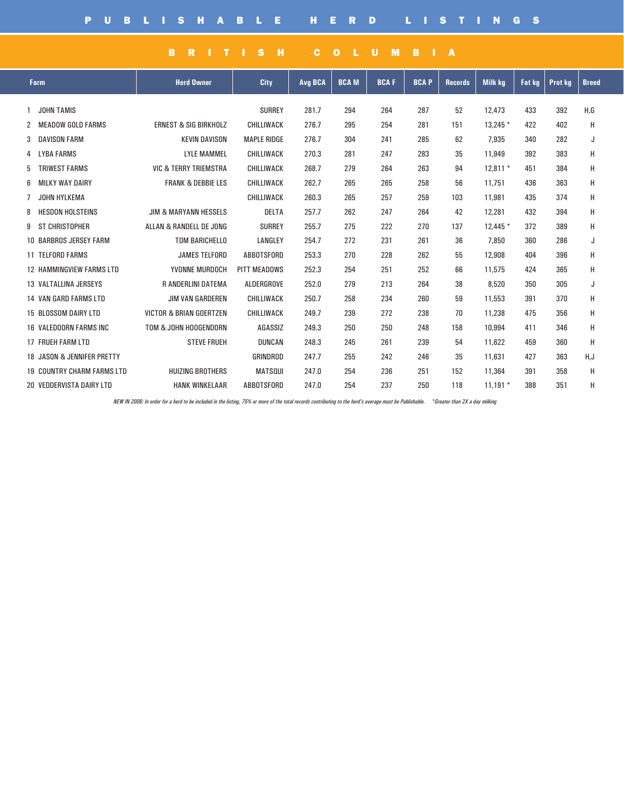### BRITISH COLUMBIA

| <b>Farm</b>                       | <b>Herd Owner</b>                  | City               | <b>Avg BCA</b> | <b>BCAM</b> | <b>BCAF</b> | <b>BCAP</b> | <b>Records</b> | <b>Milk kg</b> | <b>Fat kg</b> | <b>Prot kg</b> | <b>Breed</b> |
|-----------------------------------|------------------------------------|--------------------|----------------|-------------|-------------|-------------|----------------|----------------|---------------|----------------|--------------|
| <b>JOHN TAMIS</b>                 |                                    | <b>SURREY</b>      | 281.7          | 294         | 264         | 287         | 52             | 12,473         | 433           | 392            | H.G          |
| <b>MEADOW GOLD FARMS</b>          | <b>ERNEST &amp; SIG BIRKHOLZ</b>   | <b>CHILLIWACK</b>  | 276.7          | 295         | 254         | 281         | 151            | $13.245*$      | 422           | 402            | Н            |
| <b>DAVISON FARM</b><br>3          | <b>KEVIN DAVISON</b>               | <b>MAPLE RIDGE</b> | 276.7          | 304         | 241         | 285         | 62             | 7,935          | 340           | 282            | J            |
| LYBA FARMS<br>4                   | <b>LYLE MAMMEL</b>                 | CHILLIWACK         | 270.3          | 281         | 247         | 283         | 35             | 11,949         | 392           | 383            | Н            |
| <b>TRIWEST FARMS</b><br>5         | <b>VIC &amp; TERRY TRIEMSTRA</b>   | <b>CHILLIWACK</b>  | 268.7          | 279         | 264         | 263         | 94             | $12.811*$      | 451           | 384            | Н            |
| <b>MILKY WAY DAIRY</b><br>6       | <b>FRANK &amp; DEBBIE LES</b>      | <b>CHILLIWACK</b>  | 262.7          | 265         | 265         | 258         | 56             | 11,751         | 436           | 363            | Н            |
| JOHN HYLKEMA<br>7                 |                                    | CHILLIWACK         | 260.3          | 265         | 257         | 259         | 103            | 11,981         | 435           | 374            | Η            |
| <b>HESDON HOLSTEINS</b><br>8      | <b>JIM &amp; MARYANN HESSELS</b>   | <b>DELTA</b>       | 257.7          | 262         | 247         | 264         | 42             | 12,281         | 432           | 394            | H            |
| ST CHRISTOPHER<br>9               | ALLAN & RANDELL DE JONG            | <b>SURREY</b>      | 255.7          | 275         | 222         | 270         | 137            | 12,445 *       | 372           | 389            | Н            |
| <b>10 BARBROS JERSEY FARM</b>     | <b>TOM BARICHELLO</b>              | LANGLEY            | 254.7          | 272         | 231         | 261         | 36             | 7,850          | 360           | 286            | J            |
| <b>11 TELFORD FARMS</b>           | <b>JAMES TELFORD</b>               | <b>ABBOTSFORD</b>  | 253.3          | 270         | 228         | 262         | 55             | 12,908         | 404           | 396            | Н            |
| <b>12 HAMMINGVIEW FARMS LTD</b>   | YVONNE MURDOCH                     | PITT MEADOWS       | 252.3          | 254         | 251         | 252         | 66             | 11,575         | 424           | 365            | Н            |
| 13 VALTALLINA JERSEYS             | R ANDERLINI DATEMA                 | ALDERGROVE         | 252.0          | 279         | 213         | 264         | 38             | 8,520          | 350           | 305            | J            |
| <b>14 VAN GARD FARMS LTD</b>      | <b>JIM VAN GARDEREN</b>            | <b>CHILLIWACK</b>  | 250.7          | 258         | 234         | 260         | 59             | 11,553         | 391           | 370            | Н            |
| 15 BLOSSOM DAIRY LTD              | <b>VICTOR &amp; BRIAN GOERTZEN</b> | <b>CHILLIWACK</b>  | 249.7          | 239         | 272         | 238         | 70             | 11,238         | 475           | 356            | Н            |
| 16 VALEDOORN FARMS INC            | TOM & JOHN HOOGENDORN              | AGASSIZ            | 249.3          | 250         | 250         | 248         | 158            | 10,994         | 411           | 346            | Н            |
| 17 FRUEH FARM LTD                 | <b>STEVE FRUEH</b>                 | <b>DUNCAN</b>      | 248.3          | 245         | 261         | 239         | 54             | 11,622         | 459           | 360            | H            |
| 18 JASON & JENNIFER PRETTY        |                                    | <b>GRINDROD</b>    | 247.7          | 255         | 242         | 246         | 35             | 11,631         | 427           | 363            | H,J          |
| <b>19 COUNTRY CHARM FARMS LTD</b> | <b>HUIZING BROTHERS</b>            | <b>MATSQUI</b>     | 247.0          | 254         | 236         | 251         | 152            | 11,364         | 391           | 358            | Н            |
| 20 VEDDERVISTA DAIRY LTD          | <b>HANK WINKELAAR</b>              | <b>ABBOTSFORD</b>  | 247.0          | 254         | 237         | 250         | 118            | $11,191*$      | 388           | 351            | Н            |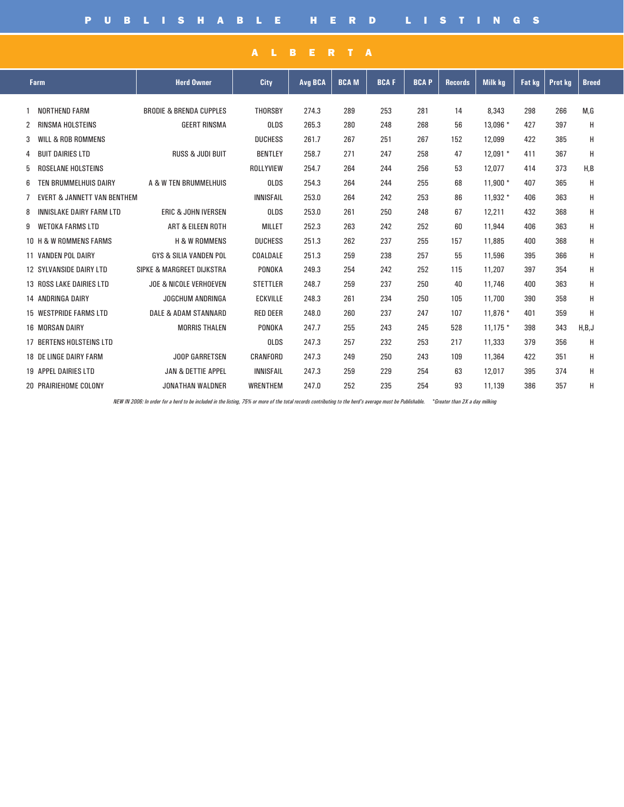|   | <b>Farm</b>                     | <b>Herd Owner</b>                  | City             | <b>Avg BCA</b> | <b>BCAM</b> | <b>BCAF</b> | <b>BCAP</b> | <b>Records</b> | <b>Milk kg</b> | <b>Fat kg</b> | <b>Prot kg</b> | <b>Breed</b> |
|---|---------------------------------|------------------------------------|------------------|----------------|-------------|-------------|-------------|----------------|----------------|---------------|----------------|--------------|
|   | NORTHEND FARM                   | <b>BRODIE &amp; BRENDA CUPPLES</b> | THORSBY          | 274.3          | 289         | 253         | 281         | 14             | 8,343          | 298           | 266            | M,G          |
|   | 2 RINSMA HOLSTEINS              | <b>GEERT RINSMA</b>                | <b>OLDS</b>      | 265.3          | 280         | 248         | 268         | 56             | 13,096 *       | 427           | 397            | Н            |
| 3 | WILL & ROB ROMMENS              |                                    | <b>DUCHESS</b>   | 261.7          | 267         | 251         | 267         | 152            | 12,099         | 422           | 385            | Н            |
|   | 4 BUIT DAIRIES LTD              | <b>RUSS &amp; JUDI BUIT</b>        | <b>BENTLEY</b>   | 258.7          | 271         | 247         | 258         | 47             | $12.091*$      | 411           | 367            | H            |
| 5 | ROSELANE HOLSTEINS              |                                    | ROLLYVIEW        | 254.7          | 264         | 244         | 256         | 53             | 12.077         | 414           | 373            | H,B          |
| 6 | TEN BRUMMELHUIS DAIRY           | A & W TEN BRUMMELHUIS              | <b>OLDS</b>      | 254.3          | 264         | 244         | 255         | 68             | $11.900*$      | 407           | 365            | н            |
| 7 | EVERT & JANNETT VAN BENTHEM     |                                    | <b>INNISFAIL</b> | 253.0          | 264         | 242         | 253         | 86             | $11.932*$      | 406           | 363            | Н            |
| 8 | INNISLAKE DAIRY FARM LTD        | <b>ERIC &amp; JOHN IVERSEN</b>     | <b>OLDS</b>      | 253.0          | 261         | 250         | 248         | 67             | 12,211         | 432           | 368            | Н            |
|   | 9 WETOKA FARMS LTD              | <b>ART &amp; EILEEN ROTH</b>       | <b>MILLET</b>    | 252.3          | 263         | 242         | 252         | 60             | 11,944         | 406           | 363            | H            |
|   | 10 H & W ROMMENS FARMS          | <b>H &amp; W ROMMENS</b>           | <b>DUCHESS</b>   | 251.3          | 262         | 237         | 255         | 157            | 11,885         | 400           | 368            | Н            |
|   | <b>11 VANDEN POL DAIRY</b>      | <b>GYS &amp; SILIA VANDEN POL</b>  | COALDALE         | 251.3          | 259         | 238         | 257         | 55             | 11,596         | 395           | 366            | Н            |
|   | <b>12 SYLVANSIDE DAIRY LTD</b>  | SIPKE & MARGREET DIJKSTRA          | PONOKA           | 249.3          | 254         | 242         | 252         | 115            | 11,207         | 397           | 354            | Н            |
|   | <b>13 ROSS LAKE DAIRIES LTD</b> | <b>JOE &amp; NICOLE VERHOEVEN</b>  | <b>STETTLER</b>  | 248.7          | 259         | 237         | 250         | 40             | 11,746         | 400           | 363            | Н            |
|   | <b>14 ANDRINGA DAIRY</b>        | JOGCHUM ANDRINGA                   | <b>ECKVILLE</b>  | 248.3          | 261         | 234         | 250         | 105            | 11,700         | 390           | 358            | Н            |
|   | <b>15 WESTPRIDE FARMS LTD</b>   | DALE & ADAM STANNARD               | <b>RED DEER</b>  | 248.0          | 260         | 237         | 247         | 107            | 11,876 *       | 401           | 359            | Н            |
|   | <b>16 MORSAN DAIRY</b>          | <b>MORRIS THALEN</b>               | PONOKA           | 247.7          | 255         | 243         | 245         | 528            | $11.175*$      | 398           | 343            | H,B,J        |
|   | <b>17 BERTENS HOLSTEINS LTD</b> |                                    | <b>OLDS</b>      | 247.3          | 257         | 232         | 253         | 217            | 11,333         | 379           | 356            | н            |
|   | <b>18 DE LINGE DAIRY FARM</b>   | JOOP GARRETSEN                     | CRANFORD         | 247.3          | 249         | 250         | 243         | 109            | 11,364         | 422           | 351            | H            |
|   | <b>19 APPEL DAIRIES LTD</b>     | <b>JAN &amp; DETTIE APPEL</b>      | <b>INNISFAIL</b> | 247.3          | 259         | 229         | 254         | 63             | 12,017         | 395           | 374            | Н            |
|   | 20 PRAIRIEHOME COLONY           | <b>JONATHAN WALDNER</b>            | <b>WRENTHEM</b>  | 247.0          | 252         | 235         | 254         | 93             | 11,139         | 386           | 357            | Н            |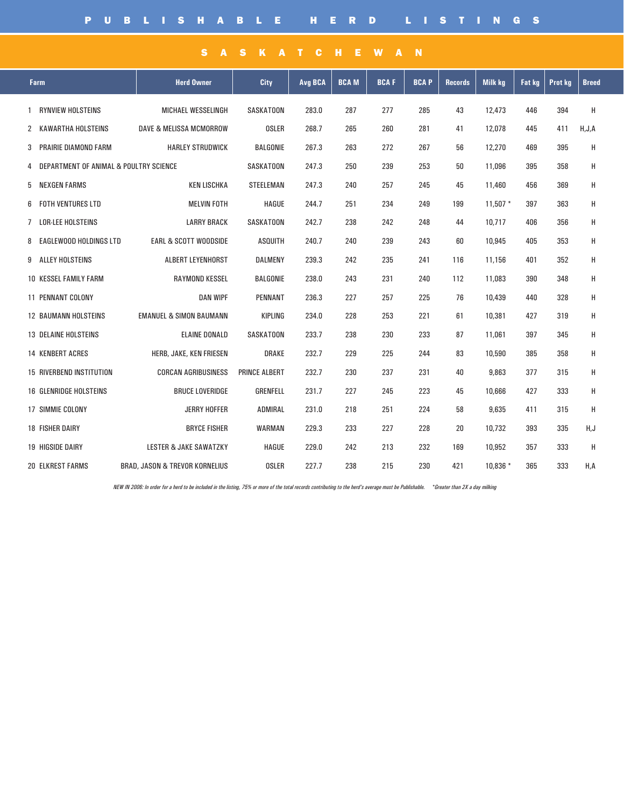### SASKATCHEWAN

| <b>Farm</b>                     | <b>Herd Owner</b>                                                                         | City                 | Avg BCA | <b>BCAM</b> | <b>BCAF</b> | <b>BCAP</b> | Records | <b>Milk kg</b> | <b>Fat kg</b> | Prot kg | <b>Breed</b> |
|---------------------------------|-------------------------------------------------------------------------------------------|----------------------|---------|-------------|-------------|-------------|---------|----------------|---------------|---------|--------------|
| <b>RYNVIEW HOLSTEINS</b><br>1   | MICHAEL WESSELINGH                                                                        | SASKATOON            | 283.0   | 287         | 277         | 285         | 43      | 12,473         | 446           | 394     | Н            |
| 2 KAWARTHA HOLSTEINS            | <b>DAVE &amp; MELISSA MCMORROW</b>                                                        | <b>OSLER</b>         | 268.7   | 265         | 260         | 281         | 41      | 12,078         | 445           | 411     | H, J, A      |
| 3 PRAIRIE DIAMOND FARM          | <b>HARLEY STRUDWICK</b>                                                                   | <b>BALGONIE</b>      | 267.3   | 263         | 272         | 267         | 56      | 12,270         | 469           | 395     | Н            |
|                                 | 4 DEPARTMENT OF ANIMAL & POULTRY SCIENCE<br><b>NEXGEN FARMS</b><br>EAGLEWOOD HOLDINGS LTD |                      | 247.3   | 250         | 239         | 253         | 50      | 11,096         | 395           | 358     | Η            |
| 5                               | <b>KEN LISCHKA</b>                                                                        | <b>STEELEMAN</b>     | 247.3   | 240         | 257         | 245         | 45      | 11,460         | 456           | 369     | H            |
| 6 FOTH VENTURES LTD             | <b>MELVIN FOTH</b>                                                                        | <b>HAGUE</b>         | 244.7   | 251         | 234         | 249         | 199     | $11.507*$      | 397           | 363     | Н            |
| 7 LOR-LEE HOLSTEINS             | <b>LARRY BRACK</b>                                                                        | <b>SASKATOON</b>     | 242.7   | 238         | 242         | 248         | 44      | 10,717         | 406           | 356     | Н            |
| 8                               | <b>EARL &amp; SCOTT WOODSIDE</b>                                                          | <b>ASQUITH</b>       | 240.7   | 240         | 239         | 243         | 60      | 10,945         | 405           | 353     | Η            |
| 9 ALLEY HOLSTEINS               | ALBERT LEYENHORST                                                                         | <b>DALMENY</b>       | 239.3   | 242         | 235         | 241         | 116     | 11.156         | 401           | 352     | Н            |
| <b>10 KESSEL FAMILY FARM</b>    | <b>RAYMOND KESSEL</b>                                                                     | <b>BALGONIE</b>      | 238.0   | 243         | 231         | 240         | 112     | 11,083         | 390           | 348     | н            |
| <b>11 PENNANT COLONY</b>        | <b>DAN WIPF</b>                                                                           | <b>PENNANT</b>       | 236.3   | 227         | 257         | 225         | 76      | 10,439         | 440           | 328     | Η            |
| <b>12 BAUMANN HOLSTEINS</b>     | <b>EMANUEL &amp; SIMON BAUMANN</b>                                                        | KIPLING              | 234.0   | 228         | 253         | 221         | 61      | 10,381         | 427           | 319     | H            |
| <b>13 DELAINE HOLSTEINS</b>     | <b>ELAINE DONALD</b>                                                                      | <b>SASKATOON</b>     | 233.7   | 238         | 230         | 233         | 87      | 11.061         | 397           | 345     | H            |
| <b>14 KENBERT ACRES</b>         | HERB, JAKE, KEN FRIESEN                                                                   | <b>DRAKE</b>         | 232.7   | 229         | 225         | 244         | 83      | 10,590         | 385           | 358     | Н            |
| <b>15 RIVERBEND INSTITUTION</b> | <b>CORCAN AGRIBUSINESS</b>                                                                | <b>PRINCE ALBERT</b> | 232.7   | 230         | 237         | 231         | 40      | 9,863          | 377           | 315     | Н            |
| <b>16 GLENRIDGE HOLSTEINS</b>   | <b>BRUCE LOVERIDGE</b>                                                                    | <b>GRENFELL</b>      | 231.7   | 227         | 245         | 223         | 45      | 10,666         | 427           | 333     | Η            |
| 17 SIMMIE COLONY                | JERRY HOFFER                                                                              | ADMIRAL              | 231.0   | 218         | 251         | 224         | 58      | 9,635          | 411           | 315     | H            |
| <b>18 FISHER DAIRY</b>          | <b>BRYCE FISHER</b>                                                                       | <b>WARMAN</b>        | 229.3   | 233         | 227         | 228         | 20      | 10,732         | 393           | 335     | H,J          |
| <b>19 HIGSIDE DAIRY</b>         | <b>LESTER &amp; JAKE SAWATZKY</b>                                                         | <b>HAGUE</b>         | 229.0   | 242         | 213         | 232         | 169     | 10,952         | 357           | 333     | Н            |
| <b>20 ELKREST FARMS</b>         | <b>BRAD, JASON &amp; TREVOR KORNELIUS</b>                                                 | <b>OSLER</b>         | 227.7   | 238         | 215         | 230         | 421     | $10,836*$      | 365           | 333     | H,A          |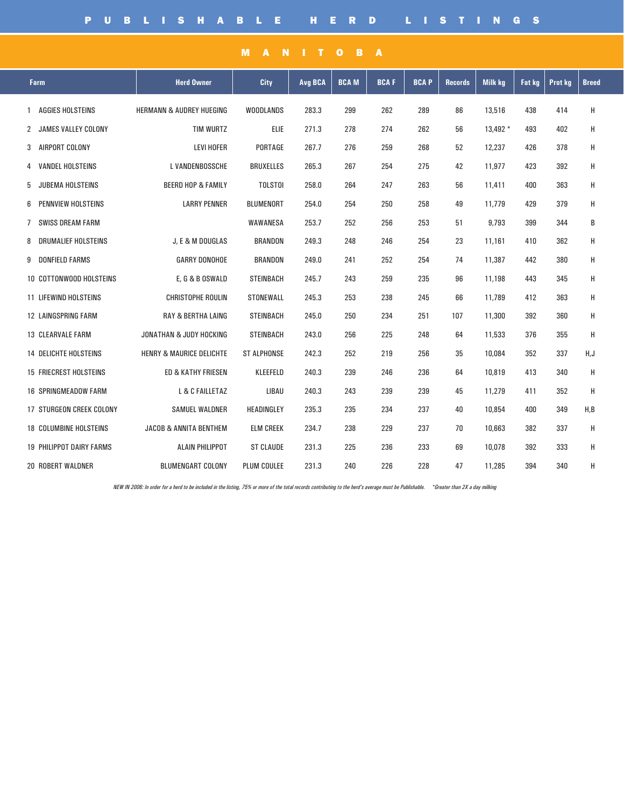| <b>Farm</b>                     | <b>Herd Owner</b>                   | City               | Avg BCA | <b>BCAM</b> | <b>BCAF</b> | <b>BCAP</b> | <b>Records</b> | <b>Milk kg</b> | Fat kg | Prot kg | <b>Breed</b> |
|---------------------------------|-------------------------------------|--------------------|---------|-------------|-------------|-------------|----------------|----------------|--------|---------|--------------|
| <b>AGGIES HOLSTEINS</b><br>1    | <b>HERMANN &amp; AUDREY HUEGING</b> | <b>WOODLANDS</b>   | 283.3   | 299         | 262         | 289         | 86             | 13,516         | 438    | 414     | H            |
| 2 JAMES VALLEY COLONY           | <b>TIM WURTZ</b>                    | <b>ELIE</b>        | 271.3   | 278         | 274         | 262         | 56             | 13,492 *       | 493    | 402     | н            |
| 3 AIRPORT COLONY                | <b>LEVI HOFER</b>                   | PORTAGE            | 267.7   | 276         | 259         | 268         | 52             | 12,237         | 426    | 378     | н            |
| <b>VANDEL HOLSTEINS</b><br>4    | L VANDENBOSSCHE                     | <b>BRUXELLES</b>   | 265.3   | 267         | 254         | 275         | 42             | 11,977         | 423    | 392     | Н            |
| <b>JUBEMA HOLSTEINS</b><br>5    | <b>BEERD HOP &amp; FAMILY</b>       | <b>TOLSTOI</b>     | 258.0   | 264         | 247         | 263         | 56             | 11,411         | 400    | 363     | Н            |
| PENNVIEW HOLSTEINS<br>6         | <b>LARRY PENNER</b>                 | <b>BLUMENORT</b>   | 254.0   | 254         | 250         | 258         | 49             | 11.779         | 429    | 379     | н            |
| SWISS DREAM FARM<br>7           |                                     | WAWANESA           | 253.7   | 252         | 256         | 253         | 51             | 9,793          | 399    | 344     | В            |
| 8 DRUMALIEF HOLSTEINS           | J. E & M DOUGLAS                    | <b>BRANDON</b>     | 249.3   | 248         | 246         | 254         | 23             | 11,161         | 410    | 362     | н            |
| <b>DONFIELD FARMS</b><br>9      | <b>GARRY DONOHOE</b>                | <b>BRANDON</b>     | 249.0   | 241         | 252         | 254         | 74             | 11,387         | 442    | 380     | н            |
| 10 COTTONWOOD HOLSTEINS         | E, G & B OSWALD                     | <b>STEINBACH</b>   | 245.7   | 243         | 259         | 235         | 96             | 11,198         | 443    | 345     | H            |
| <b>11 LIFEWIND HOLSTEINS</b>    | CHRISTOPHE ROULIN                   | STONEWALL          | 245.3   | 253         | 238         | 245         | 66             | 11,789         | 412    | 363     | н            |
| <b>12 LAINGSPRING FARM</b>      | <b>RAY &amp; BERTHA LAING</b>       | <b>STEINBACH</b>   | 245.0   | 250         | 234         | 251         | 107            | 11,300         | 392    | 360     | н            |
| <b>13 CLEARVALE FARM</b>        | <b>JONATHAN &amp; JUDY HOCKING</b>  | <b>STEINBACH</b>   | 243.0   | 256         | 225         | 248         | 64             | 11,533         | 376    | 355     | н            |
| <b>14 DELICHTE HOLSTEINS</b>    | <b>HENRY &amp; MAURICE DELICHTE</b> | <b>ST ALPHONSE</b> | 242.3   | 252         | 219         | 256         | 35             | 10,084         | 352    | 337     | H, J         |
| <b>15 FRIECREST HOLSTEINS</b>   | <b>ED &amp; KATHY FRIESEN</b>       | KLEEFELD           | 240.3   | 239         | 246         | 236         | 64             | 10,819         | 413    | 340     | н            |
| <b>16 SPRINGMEADOW FARM</b>     | L & C FAILLETAZ                     | LIBAU              | 240.3   | 243         | 239         | 239         | 45             | 11,279         | 411    | 352     | H            |
| <b>17 STURGEON CREEK COLONY</b> | <b>SAMUEL WALDNER</b>               | <b>HEADINGLEY</b>  | 235.3   | 235         | 234         | 237         | 40             | 10,854         | 400    | 349     | H,B          |
| <b>18 COLUMBINE HOLSTEINS</b>   | <b>JACOB &amp; ANNITA BENTHEM</b>   | <b>ELM CREEK</b>   | 234.7   | 238         | 229         | 237         | 70             | 10,663         | 382    | 337     | н            |
| <b>19 PHILIPPOT DAIRY FARMS</b> | <b>ALAIN PHILIPPOT</b>              | <b>ST CLAUDE</b>   | 231.3   | 225         | 236         | 233         | 69             | 10,078         | 392    | 333     | Н            |
| 20 ROBERT WALDNER               | <b>BLUMENGART COLONY</b>            | <b>PLUM COULEE</b> | 231.3   | 240         | 226         | 228         | 47             | 11,285         | 394    | 340     | н            |

MANITOBA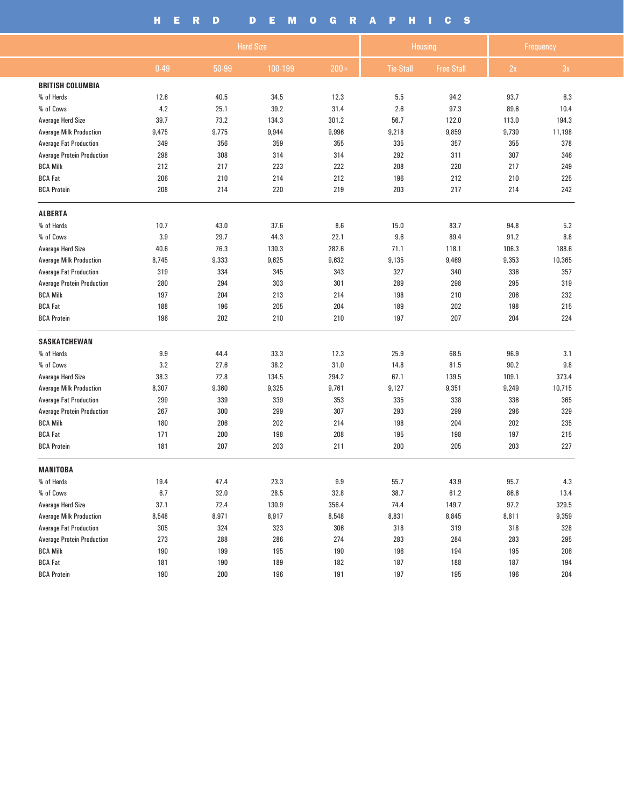## HERD DEMOGRAPHICS

|                                   |       | <b>Herd Size</b> |          |         |                  | <b>Housing</b>    | Frequency |        |  |
|-----------------------------------|-------|------------------|----------|---------|------------------|-------------------|-----------|--------|--|
|                                   | 0.49  | 50-99            | 100-199  | $200 +$ | <b>Tie-Stall</b> | <b>Free Stall</b> | 2x        | 3x     |  |
| <b>BRITISH COLUMBIA</b>           |       |                  |          |         |                  |                   |           |        |  |
| % of Herds                        | 12.6  | 40.5             | 34.5     | 12.3    | 5.5              | 94.2              | 93.7      | 6.3    |  |
| % of Cows                         | 4.2   | 25.1             | 39.2     | 31.4    | 2.6              | 97.3              | 89.6      | 10.4   |  |
| <b>Average Herd Size</b>          | 39.7  | 73.2             | 134.3    | 301.2   | 56.7             | 122.0             | 113.0     | 194.3  |  |
| <b>Average Milk Production</b>    | 9,475 | 9,775            | 9,944    | 9,996   | 9,218            | 9,859             | 9,730     | 11,198 |  |
| <b>Average Fat Production</b>     | 349   | 356              | 359      | 355     | 335              | 357               | 355       | 378    |  |
| <b>Average Protein Production</b> | 298   | 308              | 314      | 314     | 292              | 311               | 307       | 346    |  |
| <b>BCA Milk</b>                   | 212   | 217              | 223      | 222     | 208              | 220               | 217       | 249    |  |
| <b>BCA Fat</b>                    | 206   | 210              | 214      | 212     | 196              | 212               | 210       | 225    |  |
| <b>BCA Protein</b>                | 208   | 214              | 220      | 219     | 203              | 217               | 214       | 242    |  |
| <b>ALBERTA</b>                    |       |                  |          |         |                  |                   |           |        |  |
| % of Herds                        | 10.7  | 43.0             | 37.6     | 8.6     | 15.0             | 83.7              | 94.8      | 5.2    |  |
| % of Cows                         | 3.9   | 29.7             | 44.3     | 22.1    | 9.6              | 89.4              | 91.2      | 8.8    |  |
| <b>Average Herd Size</b>          | 40.6  | 76.3             | 130.3    | 282.6   | 71.1             | 118.1             | 106.3     | 188.6  |  |
| <b>Average Milk Production</b>    | 8,745 | 9,333            | 9,625    | 9,632   | 9,135            | 9,469             | 9,353     | 10,365 |  |
| <b>Average Fat Production</b>     | 319   | 334              | 345      | 343     | 327              | 340               | 336       | 357    |  |
| <b>Average Protein Production</b> | 280   | 294              | 303      | 301     | 289              | 298               | 295       | 319    |  |
| <b>BCA Milk</b>                   | 197   | 204              | 213      | 214     | 198              | 210               | 206       | 232    |  |
| <b>BCA Fat</b>                    | 188   | 196              | 205      | 204     | 189              | 202               | 198       | 215    |  |
| <b>BCA Protein</b>                | 196   | 202              | 210      | 210     | 197              | 207               | 204       | 224    |  |
| <b>SASKATCHEWAN</b>               |       |                  |          |         |                  |                   |           |        |  |
| % of Herds                        | 9.9   | 44.4             | 33.3     | 12.3    | 25.9             | 68.5              | 96.9      | 3.1    |  |
| % of Cows                         | 3.2   | 27.6             | 38.2     | 31.0    | 14.8             | 81.5              | 90.2      | 9.8    |  |
| <b>Average Herd Size</b>          | 38.3  | 72.8             | 134.5    | 294.2   | 67.1             | 139.5             | 109.1     | 373.4  |  |
| <b>Average Milk Production</b>    | 8,307 | 9,360            | 9,325    | 9,761   | 9,127            | 9,351             | 9,249     | 10,715 |  |
| <b>Average Fat Production</b>     | 299   | 339              | 339      | 353     | 335              | 338               | 336       | 365    |  |
| <b>Average Protein Production</b> | 267   | 300              | 299      | 307     | 293              | 299               | 296       | 329    |  |
| <b>BCA Milk</b>                   | 180   | 206              | 202      | 214     | 198              | 204               | 202       | 235    |  |
| <b>BCA Fat</b>                    | 171   | 200              | 198      | 208     | 195              | 198               | 197       | 215    |  |
| <b>BCA Protein</b>                | 181   | 207              | 203      | 211     | 200              | 205               | 203       | 227    |  |
| <b>MANITOBA</b>                   |       |                  |          |         |                  |                   |           |        |  |
| % of Herds                        | 19.4  | 47.4             | 23.3     | 9.9     | 55.7             | 43.9              | 95.7      | 4.3    |  |
| % of Cows                         | 6.7   | 32.0             | $28.5\,$ | 32.8    | 38.7             | 61.2              | 86.6      | 13.4   |  |
| <b>Average Herd Size</b>          | 37.1  | 72.4             | 130.9    | 356.4   | 74.4             | 149.7             | 97.2      | 329.5  |  |
| <b>Average Milk Production</b>    | 8,548 | 8,971            | 8,917    | 8,548   | 8,831            | 8,845             | 8,811     | 9,359  |  |
| <b>Average Fat Production</b>     | 305   | 324              | 323      | 306     | 318              | 319               | 318       | 328    |  |
| <b>Average Protein Production</b> | 273   | 288              | 286      | 274     | 283              | 284               | 283       | 295    |  |
| <b>BCA Milk</b>                   | 190   | 199              | 195      | 190     | 196              | 194               | 195       | 206    |  |
| <b>BCA Fat</b>                    | 181   | 190              | 189      | 182     | 187              | 188               | 187       | 194    |  |
| <b>BCA Protein</b>                | 190   | 200              | 196      | 191     | 197              | 195               | 196       | 204    |  |